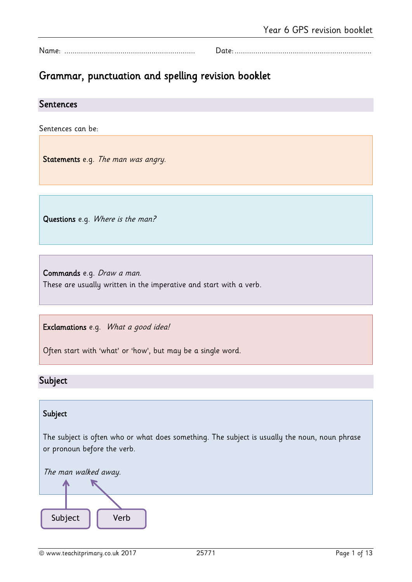Name: ............................................................... Date:..................................................................

# Grammar, punctuation and spelling revision booklet

## Sentences

Sentences can be:

Statements e.g. The man was angry.

Questions e.g. Where is the man?

Commands e.g. Draw a man. These are usually written in the imperative and start with a verb.

Exclamations e.g. What a good idea!

Often start with 'what' or 'how', but may be a single word.

# Subject

# Subject

The subject is often who or what does something. The subject is usually the noun, noun phrase or pronoun before the verb.

The man walked away.

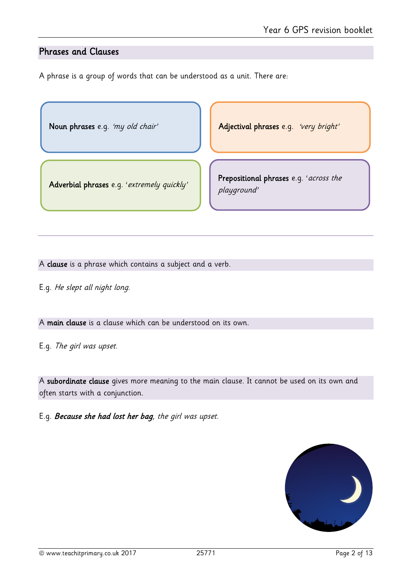# Phrases and Clauses

ſ I I Ņ

ſ I I Ņ

A phrase is a group of words that can be understood as a unit. There are:

Noun phrases e.g. 'my old chair' Adjectival phrases e.g. 'very bright'

Adverbial phrases e.g. 'extremely quickly'

Prepositional phrases e.g. 'across the playground'

A clause is a phrase which contains a subject and a verb.

E.g. He slept all night long.

A main clause is a clause which can be understood on its own.

E.g. The girl was upset.

A subordinate clause gives more meaning to the main clause. It cannot be used on its own and often starts with a conjunction.

E.g. Because she had lost her bag, the girl was upset.

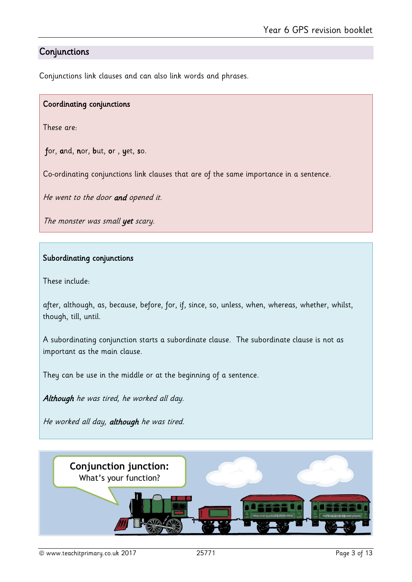# **Conjunctions**

Conjunctions link clauses and can also link words and phrases.

# Coordinating conjunctions

These are:

for, and, nor, but, or , yet, so.

Co-ordinating conjunctions link clauses that are of the same importance in a sentence.

He went to the door and opened it.

The monster was small yet scary.

#### Subordinating conjunctions

These include:

after, although, as, because, before, for, if, since, so, unless, when, whereas, whether, whilst, though, till, until.

A subordinating conjunction starts a subordinate clause. The subordinate clause is not as important as the main clause.

They can be use in the middle or at the beginning of a sentence.

Although he was tired, he worked all day.

He worked all day, although he was tired.

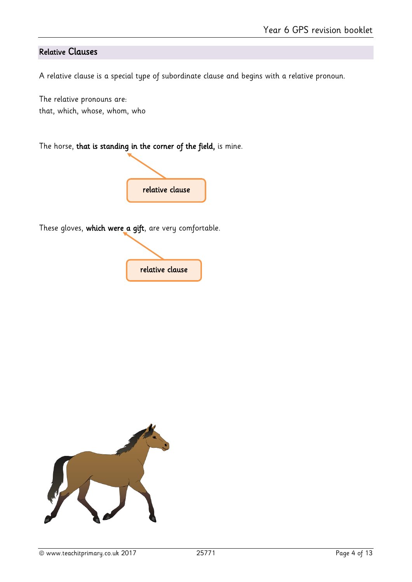# Relative Clauses

A relative clause is a special type of subordinate clause and begins with a relative pronoun.

The relative pronouns are: that, which, whose, whom, who

The horse, that is standing in the corner of the field, is mine.



These gloves, which were a gift, are very comfortable.



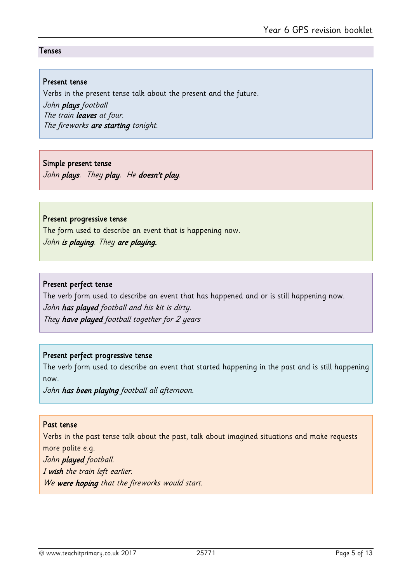#### Tenses

#### Present tense

Verbs in the present tense talk about the present and the future. John plays football The train leaves at four. The fireworks are starting tonight.

# Simple present tense

John plays. They play. He doesn't play.

#### Present progressive tense

The form used to describe an event that is happening now. John is playing. They are playing.

# Present perfect tense

The verb form used to describe an event that has happened and or is still happening now. John has played football and his kit is dirty. They have played football together for 2 years

# Present perfect progressive tense

The verb form used to describe an event that started happening in the past and is still happening now.

John has been playing football all afternoon.

# Past tense

Verbs in the past tense talk about the past, talk about imagined situations and make requests more polite e.g.

John played football. I wish the train left earlier. We were hoping that the fireworks would start.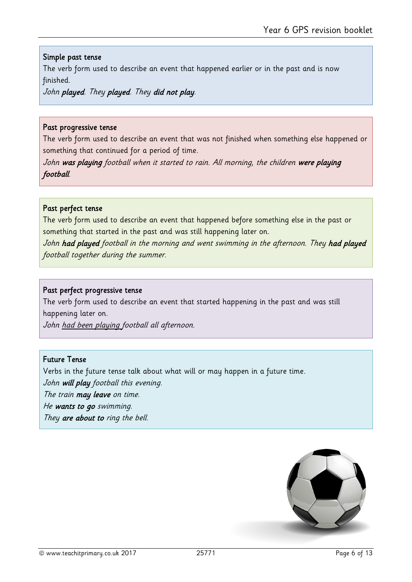### Simple past tense

The verb form used to describe an event that happened earlier or in the past and is now finished.

John played. They played. They did not play.

#### Past progressive tense

The verb form used to describe an event that was not finished when something else happened or something that continued for a period of time.

John was playing football when it started to rain. All morning, the children were playing football.

#### Past perfect tense

The verb form used to describe an event that happened before something else in the past or something that started in the past and was still happening later on.

John had played football in the morning and went swimming in the afternoon. They had played football together during the summer.

#### Past perfect progressive tense

The verb form used to describe an event that started happening in the past and was still happening later on.

John had been playing football all afternoon.

## Future Tense

Verbs in the future tense talk about what will or may happen in a future time.

John will play football this evening.

The train may leave on time.

He wants to go swimming.

They are about to ring the bell.

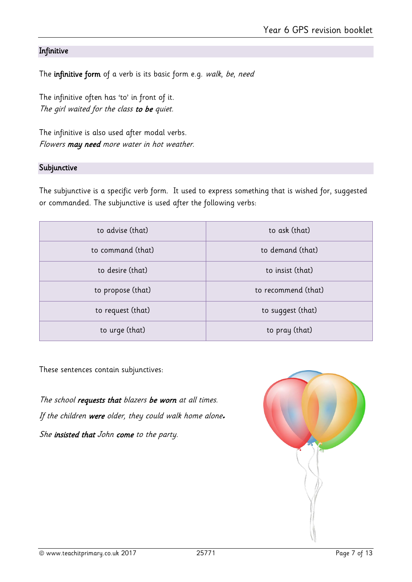# Infinitive

The infinitive form of a verb is its basic form e.g. walk, be, need

The infinitive often has 'to' in front of it. The girl waited for the class to be quiet.

The infinitive is also used after modal verbs. Flowers may need more water in hot weather.

#### Subjunctive

The subjunctive is a specific verb form. It used to express something that is wished for, suggested or commanded. The subjunctive is used after the following verbs:

| to advise (that)  | to ask (that)       |
|-------------------|---------------------|
| to command (that) | to demand (that)    |
| to desire (that)  | to insist (that)    |
| to propose (that) | to recommend (that) |
| to request (that) | to suggest (that)   |
| to urge (that)    | to pray (that)      |

These sentences contain subjunctives:

The school requests that blazers be worn at all times. If the children were older, they could walk home alone*.* She insisted that John come to the party.

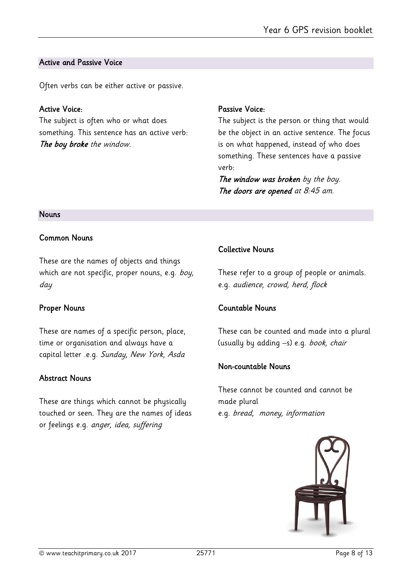### Active and Passive Voice

Often verbs can be either active or passive.

# Active Voice:

The subject is often who or what does something. This sentence has an active verb: The boy broke the window.

# Passive Voice:

The subject is the person or thing that would be the object in an active sentence. The focus is on what happened, instead of who does something. These sentences have a passive verb:

The window was broken by the boy. The doors are opened at 8:45 am.

#### Nouns

# Common Nouns

These are the names of objects and things which are not specific, proper nouns, e.g. boy, day

# Proper Nouns

These are names of a specific person, place, time or organisation and always have a capital letter .e.g. Sunday, New York, Asda

# Abstract Nouns

These are things which cannot be physically touched or seen. They are the names of ideas or feelings e.g. anger, idea, suffering

# Collective Nouns

These refer to a group of people or animals. e.g. audience, crowd, herd, flock

# Countable Nouns

These can be counted and made into a plural (usually by adding –s) e.g. book, chair

# Non-countable Nouns

These cannot be counted and cannot be made plural e.g. bread, money, information

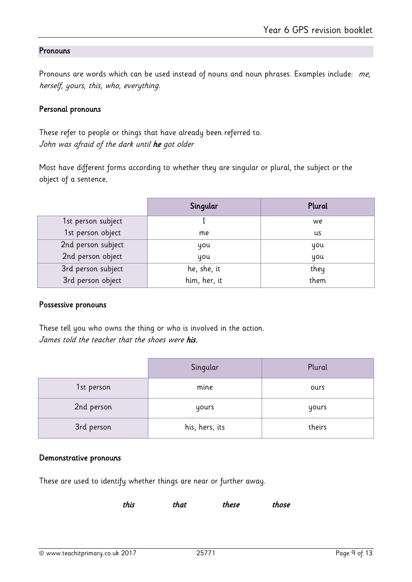# **Pronouns**

Pronouns are words which can be used instead of nouns and noun phrases. Examples include: me, herself, yours, this, who, everything.

#### Personal pronouns

These refer to people or things that have already been referred to. John was afraid of the dark until he got older

Most have different forms according to whether they are singular or plural, the subject or the object of a sentence.

|                    | Singular     | Plural |
|--------------------|--------------|--------|
| 1st person subject |              | we     |
| 1st person object  | me           | us     |
| 2nd person subject | you          | you    |
| 2nd person object  | you          | you    |
| 3rd person subject | he, she, it  | they   |
| 3rd person object  | him, her, it | them   |

#### Possessive pronouns

These tell you who owns the thing or who is involved in the action. James told the teacher that the shoes were his.

|            | Singular       | Plural |
|------------|----------------|--------|
| 1st person | mine           | ours   |
| 2nd person | yours          | yours  |
| 3rd person | his, hers, its | theirs |

#### Demonstrative pronouns

These are used to identify whether things are near or further away.

this that these those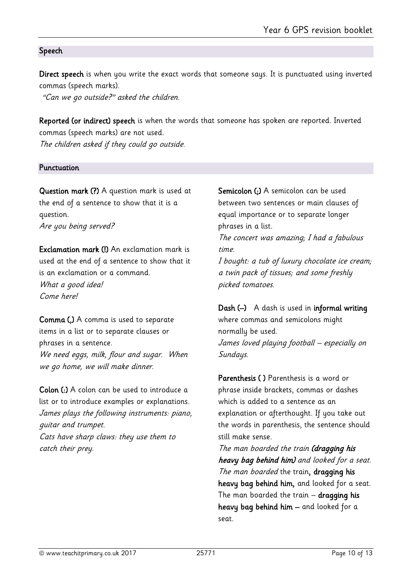## Speech

Direct speech is when you write the exact words that someone says. It is punctuated using inverted commas (speech marks).

"Can we go outside?" asked the children.

Reported (or indirect) speech is when the words that someone has spoken are reported. Inverted commas (speech marks) are not used.

The children asked if they could go outside.

#### Punctuation

Question mark (?) A question mark is used at the end of a sentence to show that it is a question. Are you being served?

Exclamation mark (!) An exclamation mark is used at the end of a sentence to show that it is an exclamation or a command. What a good idea! Come here!

Comma (,) A comma is used to separate items in a list or to separate clauses or phrases in a sentence. We need eggs, milk, flour and sugar. When we go home, we will make dinner.

Colon (:) A colon can be used to introduce a list or to introduce examples or explanations. James plays the following instruments: piano, guitar and trumpet. Cats have sharp claws: they use them to catch their prey.

Semicolon (;) A semicolon can be used between two sentences or main clauses of equal importance or to separate longer phrases in a list.

The concert was amazing; I had a fabulous time.

I bought: a tub of luxury chocolate ice cream; a twin pack of tissues; and some freshly picked tomatoes.

Dash (–) A dash is used in informal writing where commas and semicolons might normally be used. James loved playing football – especially on Sundays.

Parenthesis ( ) Parenthesis is a word or phrase inside brackets, commas or dashes which is added to a sentence as an explanation or afterthought. If you take out the words in parenthesis, the sentence should still make sense.

The man boarded the train (dragging his heavy bag behind him) and looked for a seat. The man boarded the train, dragging his heavy bag behind him, and looked for a seat. The man boarded the train - dragging his heavy bag behind him – and looked for a seat.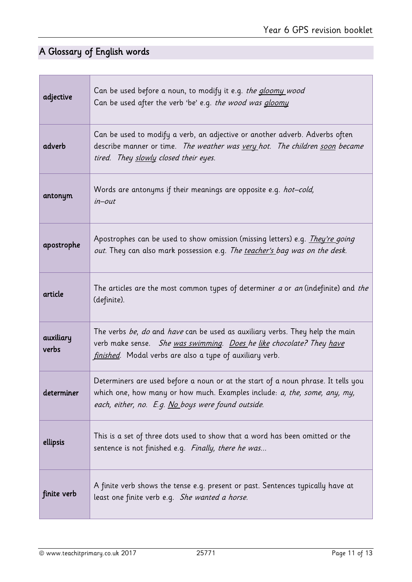# A Glossary of English words

г

| adjective          | Can be used before a noun, to modify it e.g. the gloomy wood<br>Can be used after the verb 'be' e.g. the wood was <i>gloomy</i>                                                                                                |
|--------------------|--------------------------------------------------------------------------------------------------------------------------------------------------------------------------------------------------------------------------------|
| adverb             | Can be used to modify a verb, an adjective or another adverb. Adverbs often<br>describe manner or time. The weather was very hot. The children soon became<br>tired. They slowly closed their eyes.                            |
| antonym            | Words are antonyms if their meanings are opposite e.g. hot-cold,<br>$in$ - $out$                                                                                                                                               |
| apostrophe         | Apostrophes can be used to show omission (missing letters) e.g. <i>They're going</i><br>out. They can also mark possession e.g. The teacher's bag was on the desk.                                                             |
| article            | The articles are the most common types of determiner a or an (indefinite) and the<br>(definite).                                                                                                                               |
| auxiliary<br>verbs | The verbs <i>be, do</i> and <i>have</i> can be used as auxiliary verbs. They help the main<br>verb make sense. She was swimming. Does he like chocolate? They have<br>finished. Modal verbs are also a type of auxiliary verb. |
| determiner         | Determiners are used before a noun or at the start of a noun phrase. It tells you<br>which one, how many or how much. Examples include: a, the, some, any, my,<br>each, either, no. E.g. No boys were found outside.           |
| ellipsis           | This is a set of three dots used to show that a word has been omitted or the<br>sentence is not finished e.g. Finally, there he was                                                                                            |
| finite verb        | A finite verb shows the tense e.g. present or past. Sentences typically have at<br>least one finite verb e.g. She wanted a horse.                                                                                              |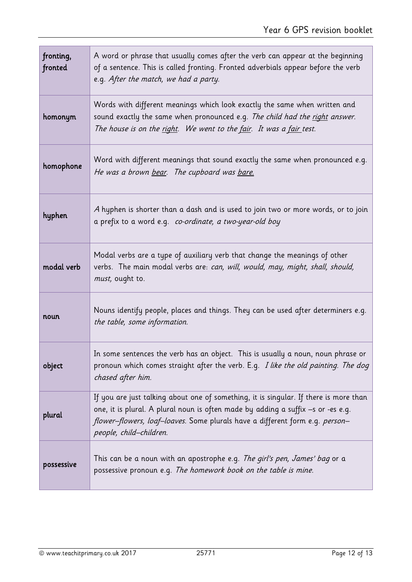| fronting,<br>fronted | A word or phrase that usually comes after the verb can appear at the beginning<br>of a sentence. This is called fronting. Fronted adverbials appear before the verb<br>e.g. After the match, we had a party.                                                                         |
|----------------------|--------------------------------------------------------------------------------------------------------------------------------------------------------------------------------------------------------------------------------------------------------------------------------------|
| homonym              | Words with different meanings which look exactly the same when written and<br>sound exactly the same when pronounced e.g. The child had the right answer.<br>The house is on the right. We went to the fair. It was a fair test.                                                     |
| homophone            | Word with different meanings that sound exactly the same when pronounced e.g.<br>He was a brown bear. The cupboard was bare.                                                                                                                                                         |
| hyphen               | A hyphen is shorter than a dash and is used to join two or more words, or to join<br>a prefix to a word e.g. co-ordinate, a two-year-old boy                                                                                                                                         |
| modal verb           | Modal verbs are a type of auxiliary verb that change the meanings of other<br>verbs. The main modal verbs are: can, will, would, may, might, shall, should,<br>must, ought to.                                                                                                       |
| noun                 | Nouns identify people, places and things. They can be used after determiners e.g.<br>the table, some information.                                                                                                                                                                    |
| object               | In some sentences the verb has an object. This is usually a noun, noun phrase or<br>pronoun which comes straight after the verb. E.g. I like the old painting. The dog<br>chased after him.                                                                                          |
| plural               | If you are just talking about one of something, it is singular. If there is more than<br>one, it is plural. A plural noun is often made by adding a suffix -s or -es e.g.<br>flower-flowers, loaf-loaves. Some plurals have a different form e.g. person-<br>people, child-children. |
| possessive           | This can be a noun with an apostrophe e.g. The girl's pen, James' bag or a<br>possessive pronoun e.g. The homework book on the table is mine.                                                                                                                                        |